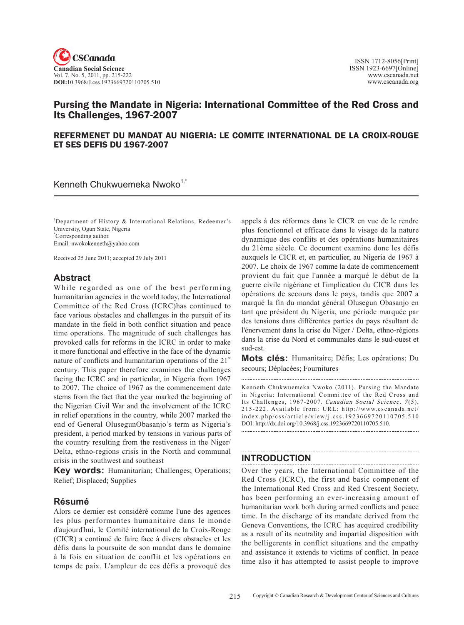

# Pursing the Mandate in Nigeria: International Committee of the Red Cross and Its Challenges, 1967-2007

### REFERMENET DU MANDAT AU NIGERIA: LE COMITE INTERNATIONAL DE LA CROIX-ROUGE ET SES DEFIS DU 1967-2007

Kenneth Chukwuemeka Nwoko<sup>1, $\tilde{ }$ </sup>

<sup>1</sup>Department of History & International Relations, Redeemer's University, Ogun State, Nigeria \* Corresponding author. Email: nwokokenneth@yahoo.com

Received 25 June 2011; accepted 29 July 2011

## **Abstract**

While regarded as one of the best performing humanitarian agencies in the world today, the International Committee of the Red Cross (ICRC)has continued to face various obstacles and challenges in the pursuit of its mandate in the field in both conflict situation and peace time operations. The magnitude of such challenges has provoked calls for reforms in the ICRC in order to make it more functional and effective in the face of the dynamic nature of conflicts and humanitarian operations of the  $21<sup>st</sup>$ century. This paper therefore examines the challenges facing the ICRC and in particular, in Nigeria from 1967 to 2007. The choice of 1967 as the commencement date stems from the fact that the year marked the beginning of the Nigerian Civil War and the involvement of the ICRC in relief operations in the country, while 2007 marked the end of General OlusegunObasanjo's term as Nigeria's president, a period marked by tensions in various parts of the country resulting from the restiveness in the Niger/ Delta, ethno-regions crisis in the North and communal crisis in the southwest and southeast

**Key words:** Humanitarian; Challenges; Operations; Relief; Displaced; Supplies

### **Résumé**

Alors ce dernier est considéré comme l'une des agences les plus performantes humanitaire dans le monde d'aujourd'hui, le Comité international de la Croix-Rouge (CICR) a continué de faire face à divers obstacles et les défis dans la poursuite de son mandat dans le domaine à la fois en situation de conflit et les opérations en temps de paix. L'ampleur de ces défis a provoqué des appels à des réformes dans le CICR en vue de le rendre plus fonctionnel et efficace dans le visage de la nature dynamique des conflits et des opérations humanitaires du 21ème siècle. Ce document examine donc les défis auxquels le CICR et, en particulier, au Nigeria de 1967 à 2007. Le choix de 1967 comme la date de commencement provient du fait que l'année a marqué le début de la guerre civile nigériane et l'implication du CICR dans les opérations de secours dans le pays, tandis que 2007 a marqué la fin du mandat général Olusegun Obasanjo en tant que président du Nigeria, une période marquée par des tensions dans différentes parties du pays résultant de l'énervement dans la crise du Niger / Delta, ethno-régions dans la crise du Nord et communales dans le sud-ouest et sud-est.

**Mots clés:** Humanitaire; Défis; Les opérations; Du secours; Déplacées; Fournitures

Kenneth Chukwuemeka Nwoko (2011). Pursing the Mandate in Nigeria: International Committee of the Red Cross and Its Challenges, 1967-2007. Canadian Social Science, 7(5), 215-222. Available from: URL: http://www.cscanada.net/ index.php/css/article/view/j.css.1923669720110705.510 DOI: http://dx.doi.org/10.3968/j.css.1923669720110705.510. 

# **INTRODUCTION**

Over the years, the International Committee of the Red Cross (ICRC), the first and basic component of the International Red Cross and Red Crescent Society, has been performing an ever-increasing amount of humanitarian work both during armed conflicts and peace time. In the discharge of its mandate derived from the Geneva Conventions, the ICRC has acquired credibility as a result of its neutrality and impartial disposition with the belligerents in conflict situations and the empathy and assistance it extends to victims of conflict. In peace time also it has attempted to assist people to improve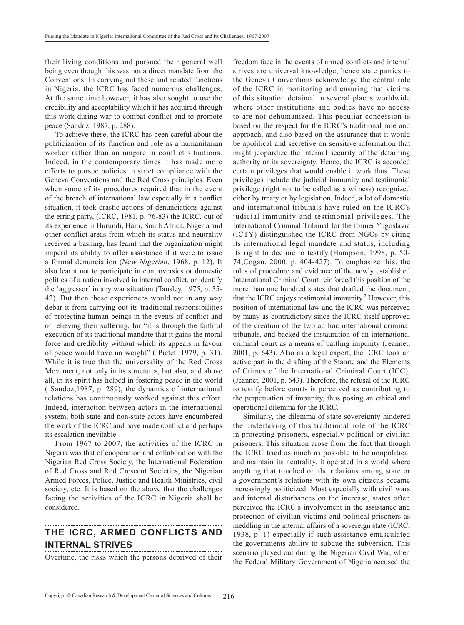their living conditions and pursued their general well being even though this was not a direct mandate from the Conventions. In carrying out these and related functions in Nigeria, the ICRC has faced numerous challenges. At the same time however, it has also sought to use the credibility and acceptability which it has acquired through this work during war to combat conflict and to promote peace (Sandoz, 1987, p. 288).

To achieve these, the ICRC has been careful about the politicization of its function and role as a humanitarian worker rather than an umpire in conflict situations. Indeed, in the contemporary times it has made more efforts to pursue policies in strict compliance with the Geneva Conventions and the Red Cross principles. Even when some of its procedures required that in the event of the breach of international law especially in a conflict situation, it took drastic actions of denunciations against the erring party, (ICRC, 1981, p. 76-83) the ICRC, out of its experience in Burundi, Haiti, South Africa, Nigeria and other conflict areas from which its status and neutrality received a bashing, has learnt that the organization might imperil its ability to offer assistance if it were to issue a formal denunciation (New Nigerian, 1968, p. 12). It also learnt not to participate in controversies or domestic politics of a nation involved in internal conflict, or identify the 'aggressor' in any war situation (Tansley, 1975, p. 35- 42). But then these experiences would not in any way debar it from carrying out its traditional responsibilities of protecting human beings in the events of conflict and of relieving their suffering, for "it is through the faithful execution of its traditional mandate that it gains the moral force and credibility without which its appeals in favour of peace would have no weight" ( Pictet, 1979, p. 31). While it is true that the universality of the Red Cross Movement, not only in its structures, but also, and above all, in its spirit has helped in fostering peace in the world ( Sandoz,1987, p. 289), the dynamics of international relations has continuously worked against this effort. Indeed, interaction between actors in the international system, both state and non-state actors have encumbered the work of the ICRC and have made conflict and perhaps its escalation inevitable.

From 1967 to 2007, the activities of the ICRC in Nigeria was that of cooperation and collaboration with the Nigerian Red Cross Society, the International Federation of Red Cross and Red Crescent Societies, the Nigerian Armed Forces, Police, Justice and Health Ministries, civil society, etc. It is based on the above that the challenges facing the activities of the ICRC in Nigeria shall be considered.

# **The ICRC, Armed Conflicts and Internal Strives**

Overtime, the risks which the persons deprived of their

freedom face in the events of armed conflicts and internal strives are universal knowledge, hence state parties to the Geneva Conventions acknowledge the central role of the ICRC in monitoring and ensuring that victims of this situation detained in several places worldwide where other institutions and bodies have no access to are not dehumanized. This peculiar concession is based on the respect for the ICRC's traditional role and approach, and also based on the assurance that it would be apolitical and secretive on sensitive information that might jeopardize the internal security of the detaining authority or its sovereignty. Hence, the ICRC is accorded certain privileges that would enable it work thus. These privileges include the judicial immunity and testimonial privilege (right not to be called as a witness) recognized either by treaty or by legislation. Indeed, a lot of domestic and international tribunals have ruled on the ICRC's judicial immunity and testimonial privileges. The International Criminal Tribunal for the former Yugoslavia (ICTY) distinguished the ICRC from NGOs by citing its international legal mandate and status, including its right to decline to testify,(Hampson, 1998, p. 50- 74;Cogan, 2000, p. 404-427). To emphasize this, the rules of procedure and evidence of the newly established International Criminal Court reinforced this position of the more than one hundred states that drafted the document, that the ICRC enjoys testimonial immunity.<sup>2</sup> However, this position of international law and the ICRC was perceived by many as contradictory since the ICRC itself approved of the creation of the two ad hoc international criminal tribunals, and backed the instauration of an international criminal court as a means of battling impunity (Jeannet, 2001, p. 643). Also as a legal expert, the ICRC took an active part in the drafting of the Statute and the Elements of Crimes of the International Criminal Court (ICC), (Jeannet, 2001, p. 643). Therefore, the refusal of the ICRC to testify before courts is perceived as contributing to the perpetuation of impunity, thus posing an ethical and operational dilemma for the ICRC.

Similarly, the dilemma of state sovereignty hindered the undertaking of this traditional role of the ICRC in protecting prisoners, especially political or civilian prisoners. This situation arose from the fact that though the ICRC tried as much as possible to be nonpolitical and maintain its neutrality, it operated in a world where anything that touched on the relations among state or a government's relations with its own citizens became increasingly politicized. Most especially with civil wars and internal disturbances on the increase, states often perceived the ICRC's involvement in the assistance and protection of civilian victims and political prisoners as meddling in the internal affairs of a sovereign state (ICRC, 1938, p. 1) especially if such assistance emasculated the governments ability to subdue the subversion. This scenario played out during the Nigerian Civil War, when the Federal Military Government of Nigeria accused the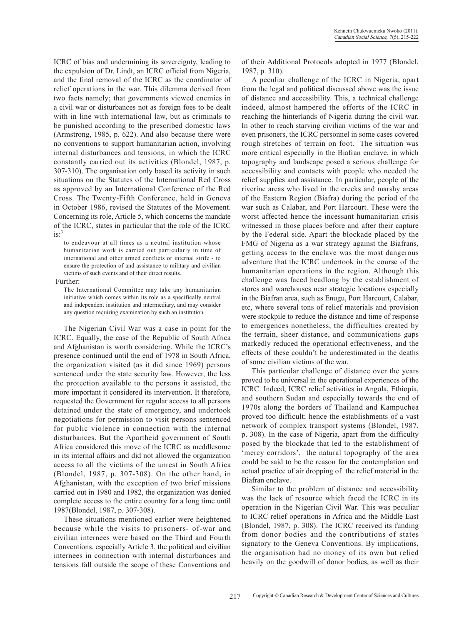ICRC of bias and undermining its sovereignty, leading to the expulsion of Dr. Lindt, an ICRC official from Nigeria, and the final removal of the ICRC as the coordinator of relief operations in the war. This dilemma derived from two facts namely; that governments viewed enemies in a civil war or disturbances not as foreign foes to be dealt with in line with international law, but as criminals to be punished according to the prescribed domestic laws (Armstrong, 1985, p. 622). And also because there were no conventions to support humanitarian action, involving internal disturbances and tensions, in which the ICRC constantly carried out its activities (Blondel, 1987, p. 307-310). The organisation only based its activity in such situations on the Statutes of the International Red Cross as approved by an International Conference of the Red Cross. The Twenty-Fifth Conference, held in Geneva in October 1986, revised the Statutes of the Movement. Concerning its role, Article 5, which concerns the mandate of the ICRC, states in particular that the role of the ICRC  $is:$ <sup>3</sup>

to endeavour at all times as a neutral institution whose humanitarian work is carried out particularly in time of international and other armed conflicts or internal strife - to ensure the protection of and assistance to military and civilian victims of such events and of their direct results.

#### Further:

The International Committee may take any humanitarian initiative which comes within its role as a specifically neutral and independent institution and intermediary, and may consider any question requiring examination by such an institution.

The Nigerian Civil War was a case in point for the ICRC. Equally, the case of the Republic of South Africa and Afghanistan is worth considering. While the ICRC's presence continued until the end of 1978 in South Africa, the organization visited (as it did since 1969) persons sentenced under the state security law. However, the less the protection available to the persons it assisted, the more important it considered its intervention. It therefore, requested the Government for regular access to all persons detained under the state of emergency, and undertook negotiations for permission to visit persons sentenced for public violence in connection with the internal disturbances. But the Apartheid government of South Africa considered this move of the ICRC as meddlesome in its internal affairs and did not allowed the organization access to all the victims of the unrest in South Africa (Blondel, 1987, p. 307-308). On the other hand, in Afghanistan, with the exception of two brief missions carried out in 1980 and 1982, the organization was denied complete access to the entire country for a long time until 1987(Blondel, 1987, p. 307-308).

These situations mentioned earlier were heightened because while the visits to prisoners- of-war and civilian internees were based on the Third and Fourth Conventions, especially Article 3, the political and civilian internees in connection with internal disturbances and tensions fall outside the scope of these Conventions and

of their Additional Protocols adopted in 1977 (Blondel, 1987, p. 310).

A peculiar challenge of the ICRC in Nigeria, apart from the legal and political discussed above was the issue of distance and accessibility. This, a technical challenge indeed, almost hampered the efforts of the ICRC in reaching the hinterlands of Nigeria during the civil war. In other to reach starving civilian victims of the war and even prisoners, the ICRC personnel in some cases covered rough stretches of terrain on foot. The situation was more critical especially in the Biafran enclave, in which topography and landscape posed a serious challenge for accessibility and contacts with people who needed the relief supplies and assistance. In particular, people of the riverine areas who lived in the creeks and marshy areas of the Eastern Region (Biafra) during the period of the war such as Calabar, and Port Harcourt. These were the worst affected hence the incessant humanitarian crisis witnessed in those places before and after their capture by the Federal side. Apart the blockade placed by the FMG of Nigeria as a war strategy against the Biafrans, getting access to the enclave was the most dangerous adventure that the ICRC undertook in the course of the humanitarian operations in the region. Although this challenge was faced headlong by the establishment of stores and warehouses near strategic locations especially in the Biafran area, such as Enugu, Port Harcourt, Calabar, etc, where several tons of relief materials and provision were stockpile to reduce the distance and time of response to emergences nonetheless, the difficulties created by the terrain, sheer distance, and communications gaps markedly reduced the operational effectiveness, and the effects of these couldn't be underestimated in the deaths of some civilian victims of the war.

This particular challenge of distance over the years proved to be universal in the operational experiences of the ICRC. Indeed, ICRC relief activities in Angola, Ethiopia, and southern Sudan and especially towards the end of 1970s along the borders of Thailand and Kampuchea proved too difficult; hence the establishments of a vast network of complex transport systems (Blondel, 1987, p. 308). In the case of Nigeria, apart from the difficulty posed by the blockade that led to the establishment of 'mercy corridors', the natural topography of the area could be said to be the reason for the contemplation and actual practice of air dropping of the relief material in the Biafran enclave.

Similar to the problem of distance and accessibility was the lack of resource which faced the ICRC in its operation in the Nigerian Civil War. This was peculiar to ICRC relief operations in Africa and the Middle East (Blondel, 1987, p. 308). The ICRC received its funding from donor bodies and the contributions of states signatory to the Geneva Conventions. By implications, the organisation had no money of its own but relied heavily on the goodwill of donor bodies, as well as their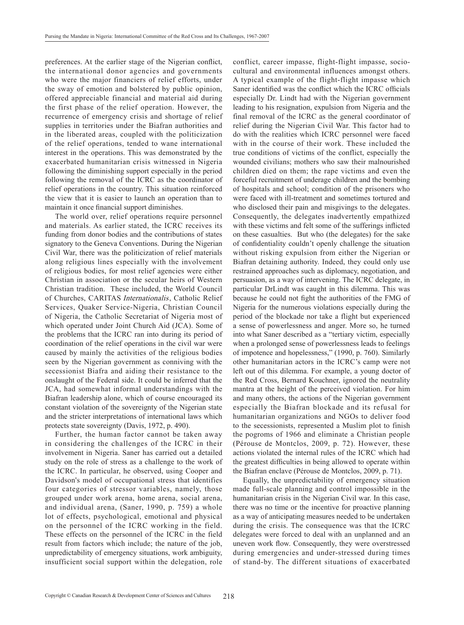preferences. At the earlier stage of the Nigerian conflict, the international donor agencies and governments who were the major financiers of relief efforts, under the sway of emotion and bolstered by public opinion, offered appreciable financial and material aid during the first phase of the relief operation. However, the recurrence of emergency crisis and shortage of relief supplies in territories under the Biafran authorities and in the liberated areas, coupled with the politicization of the relief operations, tended to wane international interest in the operations. This was demonstrated by the exacerbated humanitarian crisis witnessed in Nigeria following the diminishing support especially in the period following the removal of the ICRC as the coordinator of relief operations in the country. This situation reinforced the view that it is easier to launch an operation than to maintain it once financial support diminishes.

The world over, relief operations require personnel and materials. As earlier stated, the ICRC receives its funding from donor bodies and the contributions of states signatory to the Geneva Conventions. During the Nigerian Civil War, there was the politicization of relief materials along religious lines especially with the involvement of religious bodies, for most relief agencies were either Christian in association or the secular heirs of Western Christian tradition. These included, the World Council of Churches, CARITAS Internationalis, Catholic Relief Services, Quaker Service-Nigeria, Christian Council of Nigeria, the Catholic Secretariat of Nigeria most of which operated under Joint Church Aid (JCA). Some of the problems that the ICRC ran into during its period of coordination of the relief operations in the civil war were caused by mainly the activities of the religious bodies seen by the Nigerian government as conniving with the secessionist Biafra and aiding their resistance to the onslaught of the Federal side. It could be inferred that the JCA, had somewhat informal understandings with the Biafran leadership alone, which of course encouraged its constant violation of the sovereignty of the Nigerian state and the stricter interpretations of international laws which protects state sovereignty (Davis, 1972, p. 490).

Further, the human factor cannot be taken away in considering the challenges of the ICRC in their involvement in Nigeria. Saner has carried out a detailed study on the role of stress as a challenge to the work of the ICRC. In particular, he observed, using Cooper and Davidson's model of occupational stress that identifies four categories of stressor variables, namely, those grouped under work arena, home arena, social arena, and individual arena, (Saner, 1990, p. 759) a whole lot of effects, psychological, emotional and physical on the personnel of the ICRC working in the field. These effects on the personnel of the ICRC in the field result from factors which include; the nature of the job, unpredictability of emergency situations, work ambiguity, insufficient social support within the delegation, role

conflict, career impasse, flight-flight impasse, sociocultural and environmental influences amongst others. A typical example of the flight-flight impasse which Saner identified was the conflict which the ICRC officials especially Dr. Lindt had with the Nigerian government leading to his resignation, expulsion from Nigeria and the final removal of the ICRC as the general coordinator of relief during the Nigerian Civil War. This factor had to do with the realities which ICRC personnel were faced with in the course of their work. These included the true conditions of victims of the conflict, especially the wounded civilians; mothers who saw their malnourished children died on them; the rape victims and even the forceful recruitment of underage children and the bombing of hospitals and school; condition of the prisoners who were faced with ill-treatment and sometimes tortured and who disclosed their pain and misgivings to the delegates. Consequently, the delegates inadvertently empathized with these victims and felt some of the sufferings inflicted on these casualties. But who (the delegates) for the sake of confidentiality couldn't openly challenge the situation without risking expulsion from either the Nigerian or Biafran detaining authority. Indeed, they could only use restrained approaches such as diplomacy, negotiation, and persuasion, as a way of intervening. The ICRC delegate, in particular DrLindt was caught in this dilemma. This was because he could not fight the authorities of the FMG of Nigeria for the numerous violations especially during the period of the blockade nor take a flight but experienced a sense of powerlessness and anger. More so, he turned into what Saner described as a "tertiary victim, especially when a prolonged sense of powerlessness leads to feelings of impotence and hopelessness," (1990, p. 760). Similarly other humanitarian actors in the ICRC's camp were not left out of this dilemma. For example, a young doctor of the Red Cross, Bernard Kouchner, ignored the neutrality mantra at the height of the perceived violation. For him and many others, the actions of the Nigerian government especially the Biafran blockade and its refusal for humanitarian organizations and NGOs to deliver food to the secessionists, represented a Muslim plot to finish the pogroms of 1966 and eliminate a Christian people (Pérouse de Montclos, 2009, p. 72). However, these actions violated the internal rules of the ICRC which had the greatest difficulties in being allowed to operate within the Biafran enclave (Pérouse de Montclos, 2009, p. 71).

Equally, the unpredictability of emergency situation made full-scale planning and control impossible in the humanitarian crisis in the Nigerian Civil war. In this case, there was no time or the incentive for proactive planning as a way of anticipating measures needed to be undertaken during the crisis. The consequence was that the ICRC delegates were forced to deal with an unplanned and an uneven work flow. Consequently, they were overstressed during emergencies and under-stressed during times of stand-by. The different situations of exacerbated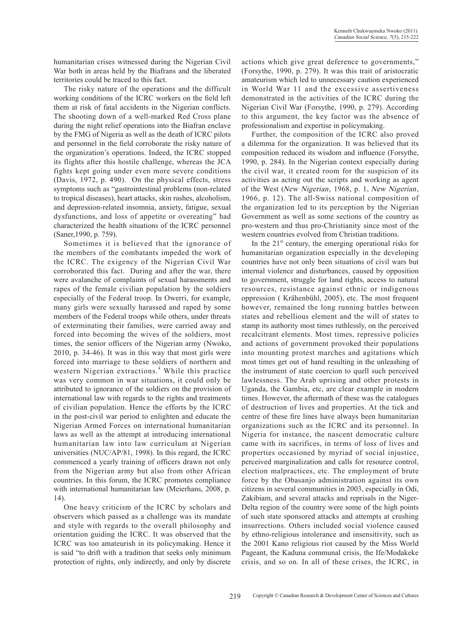humanitarian crises witnessed during the Nigerian Civil War both in areas held by the Biafrans and the liberated territories could be traced to this fact.

The risky nature of the operations and the difficult working conditions of the ICRC workers on the field left them at risk of fatal accidents in the Nigerian conflicts. The shooting down of a well-marked Red Cross plane during the night relief operations into the Biafran enclave by the FMG of Nigeria as well as the death of ICRC pilots and personnel in the field corroborate the risky nature of the organization's operations. Indeed, the ICRC stopped its flights after this hostile challenge, whereas the JCA fights kept going under even more severe conditions (Davis, 1972, p. 490). On the physical effects, stress symptoms such as "gastrointestinal problems (non-related to tropical diseases), heart attacks, skin rashes, alcoholism, and depression-related insomnia, anxiety, fatigue, sexual dysfunctions, and loss of appetite or overeating" had characterized the health situations of the ICRC personnel (Saner,1990, p. 759).

Sometimes it is believed that the ignorance of the members of the combatants impeded the work of the ICRC. The exigency of the Nigerian Civil War corroborated this fact. During and after the war, there were avalanche of complaints of sexual harassments and rapes of the female civilian population by the soldiers especially of the Federal troop. In Owerri, for example, many girls were sexually harassed and raped by some members of the Federal troops while others, under threats of exterminating their families, were carried away and forced into becoming the wives of the soldiers, most times, the senior officers of the Nigerian army (Nwoko, 2010, p. 34-46). It was in this way that most girls were forced into marriage to these soldiers of northern and western Nigerian extractions.<sup>4</sup> While this practice was very common in war situations, it could only be attributed to ignorance of the soldiers on the provision of international law with regards to the rights and treatments of civilian population. Hence the efforts by the ICRC in the post-civil war period to enlighten and educate the Nigerian Armed Forces on international humanitarian laws as well as the attempt at introducing international humanitarian law into law curriculum at Nigerian universities (NUC/AP/81, 1998). In this regard, the ICRC commenced a yearly training of officers drawn not only from the Nigerian army but also from other African countries. In this forum, the ICRC promotes compliance with international humanitarian law (Meierhans, 2008, p.  $(14)$ 

One heavy criticism of the ICRC by scholars and observers which passed as a challenge was its mandate and style with regards to the overall philosophy and orientation guiding the ICRC. It was observed that the ICRC was too amateurish in its policymaking. Hence it is said "to drift with a tradition that seeks only minimum protection of rights, only indirectly, and only by discrete

actions which give great deference to governments," (Forsythe, 1990, p. 279). It was this trait of aristocratic amateurism which led to unnecessary caution experienced in World War 11 and the excessive assertiveness demonstrated in the activities of the ICRC during the Nigerian Civil War (Forsythe, 1990, p. 279). According to this argument, the key factor was the absence of professionalism and expertise in policymaking.

Further, the composition of the ICRC also proved a dilemma for the organization. It was believed that its composition reduced its wisdom and influence (Forsythe, 1990, p. 284). In the Nigerian context especially during the civil war, it created room for the suspicion of its activities as acting out the scripts and working as agent of the West (New Nigerian, 1968, p. 1, New Nigerian, 1966, p. 12). The all-Swiss national composition of the organization led to its perception by the Nigerian Government as well as some sections of the country as pro-western and thus pro-Christianity since most of the western countries evolved from Christian traditions.

In the  $21<sup>st</sup>$  century, the emerging operational risks for humanitarian organization especially in the developing countries have not only been situations of civil wars but internal violence and disturbances, caused by opposition to government, struggle for land rights, access to natural resources, resistance against ethnic or indigenous oppression ( Krähenbühl, 2005), etc. The most frequent however, remained the long running battles between states and rebellious element and the will of states to stamp its authority most times ruthlessly, on the perceived recalcitrant elements. Most times, repressive policies and actions of government provoked their populations into mounting protest marches and agitations which most times get out of hand resulting in the unleashing of the instrument of state coercion to quell such perceived lawlessness. The Arab uprising and other protests in Uganda, the Gambia, etc, are clear example in modern times. However, the aftermath of these was the catalogues of destruction of lives and properties. At the tick and centre of these fire lines have always been humanitarian organizations such as the ICRC and its personnel. In Nigeria for instance, the nascent democratic culture came with its sacrifices, in terms of loss of lives and properties occasioned by myriad of social injustice, perceived marginalization and calls for resource control, election malpractices, etc. The employment of brute force by the Obasanjo administration against its own citizens in several communities in 2003, especially in Odi, Zakibiam, and several attacks and reprisals in the Niger-Delta region of the country were some of the high points of such state sponsored attacks and attempts at crushing insurrections. Others included social violence caused by ethno-religious intolerance and insensitivity, such as the 2001 Kano religious riot caused by the Miss World Pageant, the Kaduna communal crisis, the Ife/Modakeke crisis, and so on. In all of these crises, the ICRC, in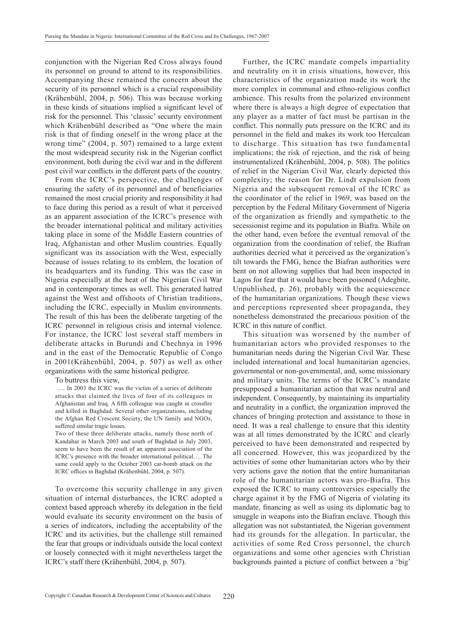conjunction with the Nigerian Red Cross always found its personnel on ground to attend to its responsibilities. Accompanying these remained the concern about the security of its personnel which is a crucial responsibility (Krähenbühl, 2004, p. 506). This was because working in these kinds of situations implied a significant level of risk for the personnel. This 'classic' security environment which Krähenbühl described as "One where the main risk is that of finding oneself in the wrong place at the wrong time" (2004, p. 507) remained to a large extent the most widespread security risk in the Nigerian conflict environment, both during the civil war and in the different post civil war conflicts in the different parts of the country.

From the ICRC's perspective, the challenges of ensuring the safety of its personnel and of beneficiaries remained the most crucial priority and responsibility it had to face during this period as a result of what it perceived as an apparent association of the ICRC's presence with the broader international political and military activities taking place in some of the Middle Eastern countries of Iraq, Afghanistan and other Muslim countries. Equally significant was its association with the West, especially because of issues relating to its emblem, the location of its headquarters and its funding. This was the case in Nigeria especially at the heat of the Nigerian Civil War and in contemporary times as well. This generated hatred against the West and offshoots of Christian traditions, including the ICRC, especially in Muslim environments. The result of this has been the deliberate targeting of the ICRC personnel in religious crisis and internal violence. For instance, the ICRC lost several staff members in deliberate attacks in Burundi and Chechnya in 1996 and in the east of the Democratic Republic of Congo in 2001(Krähenbühl, 2004, p. 507) as well as other organizations with the same historical pedigree.

To buttress this view,

 …. In 2003 the ICRC was the victim of a series of deliberate attacks that claimed the lives of four of its colleagues in Afghanistan and Iraq. A fifth colleague was caught in crossfire and killed in Baghdad. Several other organizations, including the Afghan Red Crescent Society, the UN family and NGOs, suffered similar tragic losses.

Two of these three deliberate attacks, namely those north of Kandahar in March 2003 and south of Baghdad in July 2003, seem to have been the result of an apparent association of the ICRC's presence with the broader international political…. The same could apply to the October 2003 car-bomb attack on the ICRC offices in Baghdad (Krähenbühl, 2004, p. 507).

To overcome this security challenge in any given situation of internal disturbances, the ICRC adopted a context based approach whereby its delegation in the field would evaluate its security environment on the basis of a series of indicators, including the acceptability of the ICRC and its activities, but the challenge still remained the fear that groups or individuals outside the local context or loosely connected with it might nevertheless target the ICRC's staff there (Krähenbühl, 2004, p. 507).

Further, the ICRC mandate compels impartiality and neutrality on it in crisis situations, however, this characteristics of the organization made its work the more complex in communal and ethno-religious conflict ambience. This results from the polarized environment where there is always a high degree of expectation that any player as a matter of fact must be partisan in the conflict. This normally puts pressure on the ICRC and its personnel in the field and makes its work too Herculean to discharge. This situation has two fundamental implications; the risk of rejection, and the risk of being instrumentalized (Krähenbühl, 2004, p. 508). The politics of relief in the Nigerian Civil War, clearly depicted this complexity; the reason for Dr. Lindt expulsion from Nigeria and the subsequent removal of the ICRC as the coordinator of the relief in 1969, was based on the perception by the Federal Military Government of Nigeria of the organization as friendly and sympathetic to the secessionist regime and its population in Biafra. While on the other hand, even before the eventual removal of the organization from the coordination of relief, the Biafran authorities decried what it perceived as the organization's tilt towards the FMG, hence the Biafran authorities were bent on not allowing supplies that had been inspected in Lagos for fear that it would have been poisoned (Adegbite, Unpublished, p. 26), probably with the acquiescence of the humanitarian organizations. Though these views and perceptions represented sheer propaganda, they nonetheless demonstrated the precarious position of the ICRC in this nature of conflict.

This situation was worsened by the number of humanitarian actors who provided responses to the humanitarian needs during the Nigerian Civil War. These included international and local humanitarian agencies, governmental or non-governmental, and, some missionary and military units. The terms of the ICRC's mandate presupposed a humanitarian action that was neutral and independent. Consequently, by maintaining its impartiality and neutrality in a conflict, the organization improved the chances of bringing protection and assistance to those in need. It was a real challenge to ensure that this identity was at all times demonstrated by the ICRC and clearly perceived to have been demonstrated and respected by all concerned. However, this was jeopardized by the activities of some other humanitarian actors who by their very actions gave the notion that the entire humanitarian role of the humanitarian actors was pro-Biafra. This exposed the ICRC to many controversies especially the charge against it by the FMG of Nigeria of violating its mandate, financing as well as using its diplomatic bag to smuggle in weapons into the Biafran enclave. Though this allegation was not substantiated, the Nigerian government had its grounds for the allegation. In particular, the activities of some Red Cross personnel, the church organizations and some other agencies with Christian backgrounds painted a picture of conflict between a 'big'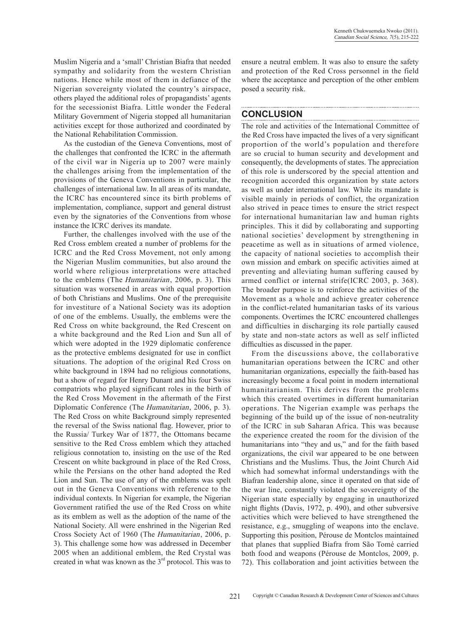Muslim Nigeria and a 'small' Christian Biafra that needed sympathy and solidarity from the western Christian nations. Hence while most of them in defiance of the Nigerian sovereignty violated the country's airspace, others played the additional roles of propagandists' agents for the secessionist Biafra. Little wonder the Federal Military Government of Nigeria stopped all humanitarian activities except for those authorized and coordinated by the National Rehabilitation Commission.

As the custodian of the Geneva Conventions, most of the challenges that confronted the ICRC in the aftermath of the civil war in Nigeria up to 2007 were mainly the challenges arising from the implementation of the provisions of the Geneva Conventions in particular, the challenges of international law. In all areas of its mandate, the ICRC has encountered since its birth problems of implementation, compliance, support and general distrust even by the signatories of the Conventions from whose instance the ICRC derives its mandate.

Further, the challenges involved with the use of the Red Cross emblem created a number of problems for the ICRC and the Red Cross Movement, not only among the Nigerian Muslim communities, but also around the world where religious interpretations were attached to the emblems (The Humanitarian, 2006, p. 3). This situation was worsened in areas with equal proportion of both Christians and Muslims. One of the prerequisite for investiture of a National Society was its adoption of one of the emblems. Usually, the emblems were the Red Cross on white background, the Red Crescent on a white background and the Red Lion and Sun all of which were adopted in the 1929 diplomatic conference as the protective emblems designated for use in conflict situations. The adoption of the original Red Cross on white background in 1894 had no religious connotations, but a show of regard for Henry Dunant and his four Swiss compatriots who played significant roles in the birth of the Red Cross Movement in the aftermath of the First Diplomatic Conference (The Humanitarian, 2006, p. 3). The Red Cross on white Background simply represented the reversal of the Swiss national flag. However, prior to the Russia/ Turkey War of 1877, the Ottomans became sensitive to the Red Cross emblem which they attached religious connotation to, insisting on the use of the Red Crescent on white background in place of the Red Cross, while the Persians on the other hand adopted the Red Lion and Sun. The use of any of the emblems was spelt out in the Geneva Conventions with reference to the individual contexts. In Nigerian for example, the Nigerian Government ratified the use of the Red Cross on white as its emblem as well as the adoption of the name of the National Society. All were enshrined in the Nigerian Red Cross Society Act of 1960 (The Humanitarian, 2006, p. 3). This challenge some how was addressed in December 2005 when an additional emblem, the Red Crystal was created in what was known as the 3<sup>rd</sup> protocol. This was to

ensure a neutral emblem. It was also to ensure the safety and protection of the Red Cross personnel in the field where the acceptance and perception of the other emblem posed a security risk.

# **Conclusion**

The role and activities of the International Committee of the Red Cross have impacted the lives of a very significant proportion of the world's population and therefore are so crucial to human security and development and consequently, the developments of states. The appreciation of this role is underscored by the special attention and recognition accorded this organization by state actors as well as under international law. While its mandate is visible mainly in periods of conflict, the organization also strived in peace times to ensure the strict respect for international humanitarian law and human rights principles. This it did by collaborating and supporting national societies' development by strengthening in peacetime as well as in situations of armed violence, the capacity of national societies to accomplish their own mission and embark on specific activities aimed at preventing and alleviating human suffering caused by armed conflict or internal strife(ICRC 2003, p. 368). The broader purpose is to reinforce the activities of the Movement as a whole and achieve greater coherence in the conflict-related humanitarian tasks of its various components. Overtimes the ICRC encountered challenges and difficulties in discharging its role partially caused by state and non-state actors as well as self inflicted difficulties as discussed in the paper.

From the discussions above, the collaborative humanitarian operations between the ICRC and other humanitarian organizations, especially the faith-based has increasingly become a focal point in modern international humanitarianism. This derives from the problems which this created overtimes in different humanitarian operations. The Nigerian example was perhaps the beginning of the build up of the issue of non-neutrality of the ICRC in sub Saharan Africa. This was because the experience created the room for the division of the humanitarians into "they and us," and for the faith based organizations, the civil war appeared to be one between Christians and the Muslims. Thus, the Joint Church Aid which had somewhat informal understandings with the Biafran leadership alone, since it operated on that side of the war line, constantly violated the sovereignty of the Nigerian state especially by engaging in unauthorized night flights (Davis, 1972, p. 490), and other subversive activities which were believed to have strengthened the resistance, e.g., smuggling of weapons into the enclave. Supporting this position, Pérouse de Montclos maintained that planes that supplied Biafra from São Tomé carried both food and weapons (Pérouse de Montclos, 2009, p. 72). This collaboration and joint activities between the